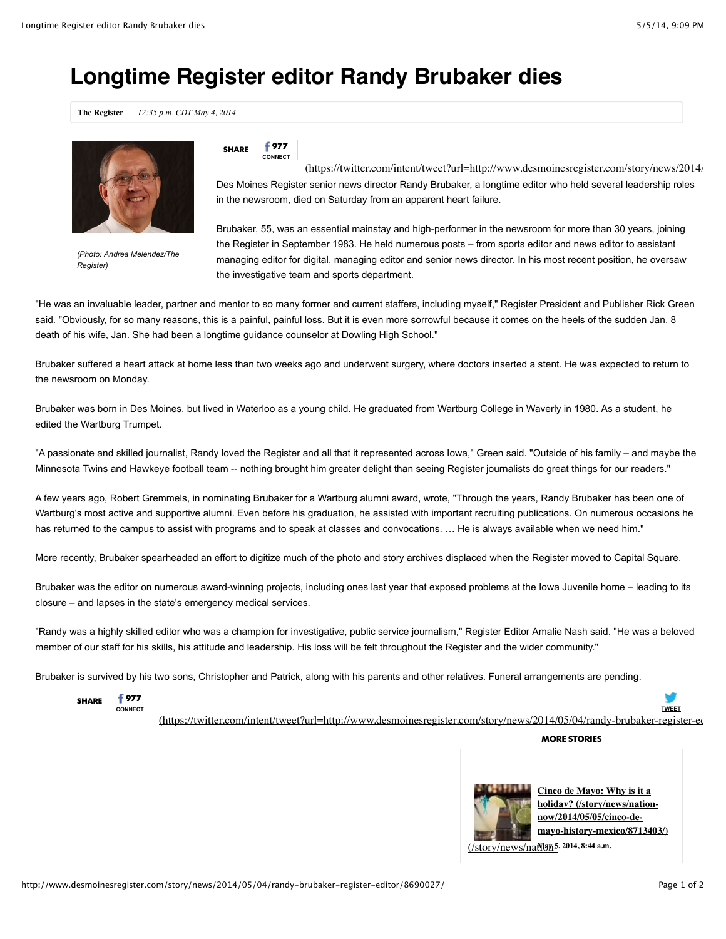## **Longtime Register editor Randy Brubaker dies**

**The Register** *12:35 p.m. CDT May 4, 2014*



*(Photo: Andrea Melendez/The Register)*

## **SHARE 977**

**CONNECT**

Des Moines Register senior news director Randy Brubaker, a longtime editor who held several leadership roles in the newsroom, died on Saturday from an apparent heart failure. [\(https://twitter.com/intent/tweet?url=http://www.desmoinesregister.com/story/news/2014/](https://twitter.com/intent/tweet?url=http://www.desmoinesregister.com/story/news/2014/05/04/randy-brubaker-register-editor/8690027/&text=Longtime%20Register%20editor%20Randy%20Brubaker%20dies&via=DMRegister)

Brubaker, 55, was an essential mainstay and high-performer in the newsroom for more than 30 years, joining the Register in September 1983. He held numerous posts – from sports editor and news editor to assistant managing editor for digital, managing editor and senior news director. In his most recent position, he oversaw the investigative team and sports department.

"He was an invaluable leader, partner and mentor to so many former and current staffers, including myself," Register President and Publisher Rick Green said. "Obviously, for so many reasons, this is a painful, painful loss. But it is even more sorrowful because it comes on the heels of the sudden Jan. 8 death of his wife, Jan. She had been a longtime guidance counselor at Dowling High School."

Brubaker suffered a heart attack at home less than two weeks ago and underwent surgery, where doctors inserted a stent. He was expected to return to the newsroom on Monday.

Brubaker was born in Des Moines, but lived in Waterloo as a young child. He graduated from Wartburg College in Waverly in 1980. As a student, he edited the Wartburg Trumpet.

"A passionate and skilled journalist, Randy loved the Register and all that it represented across Iowa," Green said. "Outside of his family – and maybe the Minnesota Twins and Hawkeye football team -- nothing brought him greater delight than seeing Register journalists do great things for our readers."

A few years ago, Robert Gremmels, in nominating Brubaker for a Wartburg alumni award, wrote, "Through the years, Randy Brubaker has been one of Wartburg's most active and supportive alumni. Even before his graduation, he assisted with important recruiting publications. On numerous occasions he has returned to the campus to assist with programs and to speak at classes and convocations. ... He is always available when we need him."

More recently, Brubaker spearheaded an effort to digitize much of the photo and story archives displaced when the Register moved to Capital Square.

Brubaker was the editor on numerous award-winning projects, including ones last year that exposed problems at the Iowa Juvenile home – leading to its closure – and lapses in the state's emergency medical services.

"Randy was a highly skilled editor who was a champion for investigative, public service journalism," Register Editor Amalie Nash said. "He was a beloved member of our staff for his skills, his attitude and leadership. His loss will be felt throughout the Register and the wider community."

Brubaker is survived by his two sons, Christopher and Patrick, along with his parents and other relatives. Funeral arrangements are pending.



(https://twitter.com/intent/tweet?url=http://www.desmoinesregister.com/story/news/2014/05/04/randy-brubaker-register-ec

**MORE STORIES**



**Cinco de Mayo: Why is it a holiday? (/story/news/nationnow/2014/05/05/cinco-de[mayo-history-mexico/8713403/\)](http://www.desmoinesregister.com/story/news/nation-now/2014/05/05/cinco-de-mayo-history-mexico/8713403/)**

[\(/story/news/nation-](http://www.desmoinesregister.com/story/news/nation-now/2014/05/05/cinco-de-mayo-history-mexico/8713403/)**May 5, 2014, 8:44 a.m.**

**TWEET**